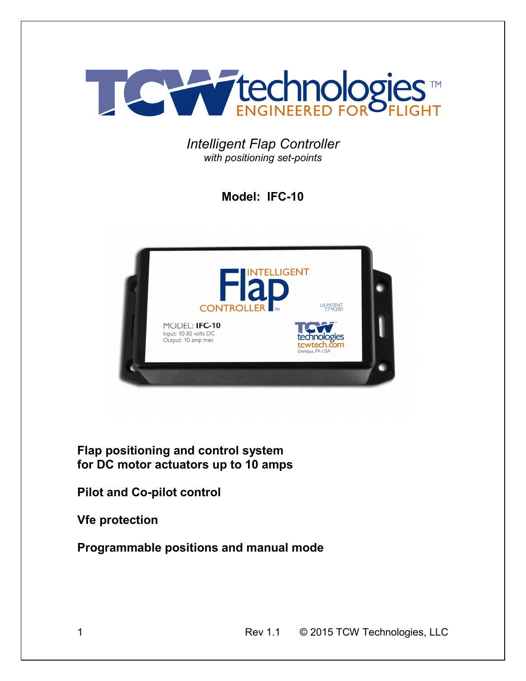

*Intelligent Flap Controller with positioning set-points* 

**Model: IFC-10** 



**Flap positioning and control system for DC motor actuators up to 10 amps** 

**Pilot and Co-pilot control** 

**Vfe protection** 

**Programmable positions and manual mode**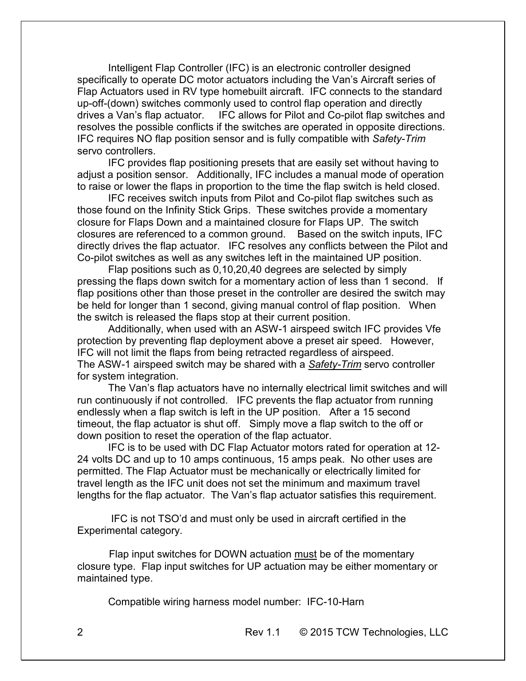Intelligent Flap Controller (IFC) is an electronic controller designed specifically to operate DC motor actuators including the Van's Aircraft series of Flap Actuators used in RV type homebuilt aircraft. IFC connects to the standard up-off-(down) switches commonly used to control flap operation and directly drives a Van's flap actuator. IFC allows for Pilot and Co-pilot flap switches and resolves the possible conflicts if the switches are operated in opposite directions. IFC requires NO flap position sensor and is fully compatible with *Safety-Trim*  servo controllers.

 IFC provides flap positioning presets that are easily set without having to adjust a position sensor. Additionally, IFC includes a manual mode of operation to raise or lower the flaps in proportion to the time the flap switch is held closed.

 IFC receives switch inputs from Pilot and Co-pilot flap switches such as those found on the Infinity Stick Grips. These switches provide a momentary closure for Flaps Down and a maintained closure for Flaps UP. The switch closures are referenced to a common ground. Based on the switch inputs, IFC directly drives the flap actuator. IFC resolves any conflicts between the Pilot and Co-pilot switches as well as any switches left in the maintained UP position.

 Flap positions such as 0,10,20,40 degrees are selected by simply pressing the flaps down switch for a momentary action of less than 1 second. If flap positions other than those preset in the controller are desired the switch may be held for longer than 1 second, giving manual control of flap position. When the switch is released the flaps stop at their current position.

Additionally, when used with an ASW-1 airspeed switch IFC provides Vfe protection by preventing flap deployment above a preset air speed. However, IFC will not limit the flaps from being retracted regardless of airspeed. The ASW-1 airspeed switch may be shared with a *Safety-Trim* servo controller for system integration.

The Van's flap actuators have no internally electrical limit switches and will run continuously if not controlled. IFC prevents the flap actuator from running endlessly when a flap switch is left in the UP position. After a 15 second timeout, the flap actuator is shut off. Simply move a flap switch to the off or down position to reset the operation of the flap actuator.

 IFC is to be used with DC Flap Actuator motors rated for operation at 12- 24 volts DC and up to 10 amps continuous, 15 amps peak. No other uses are permitted. The Flap Actuator must be mechanically or electrically limited for travel length as the IFC unit does not set the minimum and maximum travel lengths for the flap actuator. The Van's flap actuator satisfies this requirement.

 IFC is not TSO'd and must only be used in aircraft certified in the Experimental category.

 Flap input switches for DOWN actuation must be of the momentary closure type. Flap input switches for UP actuation may be either momentary or maintained type.

Compatible wiring harness model number: IFC-10-Harn

2 Rev 1.1 © 2015 TCW Technologies, LLC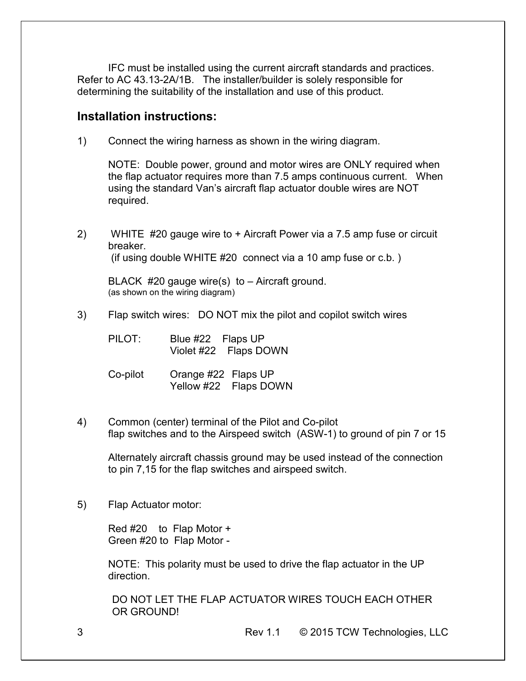IFC must be installed using the current aircraft standards and practices. Refer to AC 43.13-2A/1B. The installer/builder is solely responsible for determining the suitability of the installation and use of this product.

### **Installation instructions:**

1) Connect the wiring harness as shown in the wiring diagram.

NOTE: Double power, ground and motor wires are ONLY required when the flap actuator requires more than 7.5 amps continuous current. When using the standard Van's aircraft flap actuator double wires are NOT required.

2) WHITE #20 gauge wire to + Aircraft Power via a 7.5 amp fuse or circuit breaker. (if using double WHITE #20 connect via a 10 amp fuse or c.b. )

BLACK #20 gauge wire(s) to – Aircraft ground. (as shown on the wiring diagram)

3) Flap switch wires: DO NOT mix the pilot and copilot switch wires

PILOT: Blue #22 Flaps UP Violet #22 Flaps DOWN

- Co-pilot Orange #22 Flaps UP Yellow #22 Flaps DOWN
- 4) Common (center) terminal of the Pilot and Co-pilot flap switches and to the Airspeed switch (ASW-1) to ground of pin 7 or 15

 Alternately aircraft chassis ground may be used instead of the connection to pin 7,15 for the flap switches and airspeed switch.

5) Flap Actuator motor:

 Red #20 to Flap Motor + Green #20 to Flap Motor -

NOTE: This polarity must be used to drive the flap actuator in the UP direction.

DO NOT LET THE FLAP ACTUATOR WIRES TOUCH EACH OTHER OR GROUND!

3 Rev 1.1 © 2015 TCW Technologies, LLC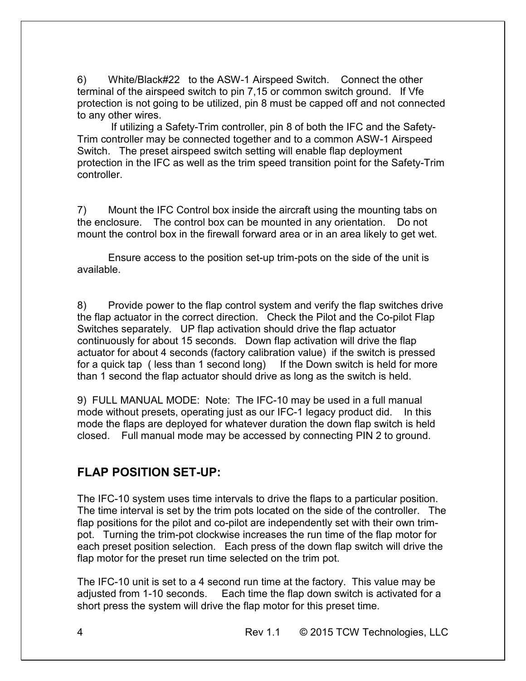6) White/Black#22 to the ASW-1 Airspeed Switch. Connect the other terminal of the airspeed switch to pin 7,15 or common switch ground. If Vfe protection is not going to be utilized, pin 8 must be capped off and not connected to any other wires.

 If utilizing a Safety-Trim controller, pin 8 of both the IFC and the Safety-Trim controller may be connected together and to a common ASW-1 Airspeed Switch. The preset airspeed switch setting will enable flap deployment protection in the IFC as well as the trim speed transition point for the Safety-Trim controller.

7) Mount the IFC Control box inside the aircraft using the mounting tabs on the enclosure. The control box can be mounted in any orientation. Do not mount the control box in the firewall forward area or in an area likely to get wet.

 Ensure access to the position set-up trim-pots on the side of the unit is available.

8) Provide power to the flap control system and verify the flap switches drive the flap actuator in the correct direction. Check the Pilot and the Co-pilot Flap Switches separately. UP flap activation should drive the flap actuator continuously for about 15 seconds. Down flap activation will drive the flap actuator for about 4 seconds (factory calibration value) if the switch is pressed for a quick tap ( less than 1 second long) If the Down switch is held for more than 1 second the flap actuator should drive as long as the switch is held.

9) FULL MANUAL MODE: Note: The IFC-10 may be used in a full manual mode without presets, operating just as our IFC-1 legacy product did. In this mode the flaps are deployed for whatever duration the down flap switch is held closed. Full manual mode may be accessed by connecting PIN 2 to ground.

## **FLAP POSITION SET-UP:**

The IFC-10 system uses time intervals to drive the flaps to a particular position. The time interval is set by the trim pots located on the side of the controller. The flap positions for the pilot and co-pilot are independently set with their own trimpot. Turning the trim-pot clockwise increases the run time of the flap motor for each preset position selection. Each press of the down flap switch will drive the flap motor for the preset run time selected on the trim pot.

The IFC-10 unit is set to a 4 second run time at the factory. This value may be adjusted from 1-10 seconds. Each time the flap down switch is activated for a short press the system will drive the flap motor for this preset time.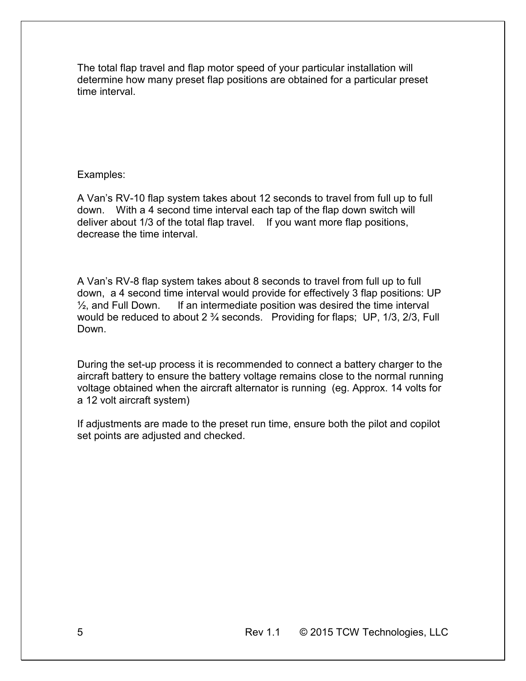The total flap travel and flap motor speed of your particular installation will determine how many preset flap positions are obtained for a particular preset time interval.

#### Examples:

A Van's RV-10 flap system takes about 12 seconds to travel from full up to full down. With a 4 second time interval each tap of the flap down switch will deliver about 1/3 of the total flap travel. If you want more flap positions, decrease the time interval.

A Van's RV-8 flap system takes about 8 seconds to travel from full up to full down, a 4 second time interval would provide for effectively 3 flap positions: UP  $\frac{1}{2}$ , and Full Down. If an intermediate position was desired the time interval would be reduced to about 2 ¾ seconds. Providing for flaps; UP, 1/3, 2/3, Full Down.

During the set-up process it is recommended to connect a battery charger to the aircraft battery to ensure the battery voltage remains close to the normal running voltage obtained when the aircraft alternator is running (eg. Approx. 14 volts for a 12 volt aircraft system)

If adjustments are made to the preset run time, ensure both the pilot and copilot set points are adjusted and checked.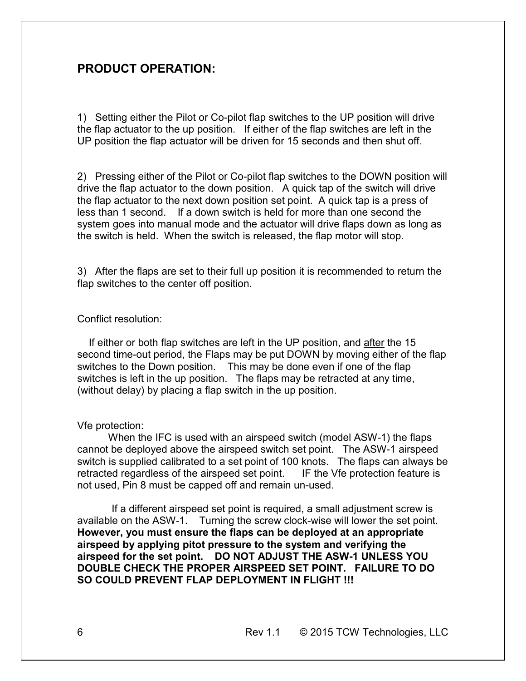## **PRODUCT OPERATION:**

1) Setting either the Pilot or Co-pilot flap switches to the UP position will drive the flap actuator to the up position. If either of the flap switches are left in the UP position the flap actuator will be driven for 15 seconds and then shut off.

2) Pressing either of the Pilot or Co-pilot flap switches to the DOWN position will drive the flap actuator to the down position. A quick tap of the switch will drive the flap actuator to the next down position set point. A quick tap is a press of less than 1 second. If a down switch is held for more than one second the system goes into manual mode and the actuator will drive flaps down as long as the switch is held. When the switch is released, the flap motor will stop.

3) After the flaps are set to their full up position it is recommended to return the flap switches to the center off position.

#### Conflict resolution:

 If either or both flap switches are left in the UP position, and after the 15 second time-out period, the Flaps may be put DOWN by moving either of the flap switches to the Down position. This may be done even if one of the flap switches is left in the up position. The flaps may be retracted at any time, (without delay) by placing a flap switch in the up position.

#### Vfe protection:

 When the IFC is used with an airspeed switch (model ASW-1) the flaps cannot be deployed above the airspeed switch set point. The ASW-1 airspeed switch is supplied calibrated to a set point of 100 knots. The flaps can always be retracted regardless of the airspeed set point. IF the Vfe protection feature is not used, Pin 8 must be capped off and remain un-used.

 If a different airspeed set point is required, a small adjustment screw is available on the ASW-1. Turning the screw clock-wise will lower the set point. **However, you must ensure the flaps can be deployed at an appropriate airspeed by applying pitot pressure to the system and verifying the airspeed for the set point. DO NOT ADJUST THE ASW-1 UNLESS YOU DOUBLE CHECK THE PROPER AIRSPEED SET POINT. FAILURE TO DO SO COULD PREVENT FLAP DEPLOYMENT IN FLIGHT !!!**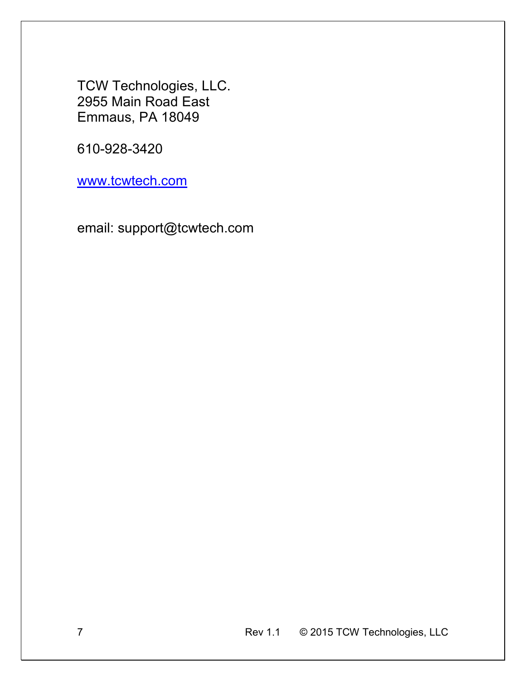TCW Technologies, LLC. 2955 Main Road East Emmaus, PA 18049

610-928-3420

www.tcwtech.com

email: support@tcwtech.com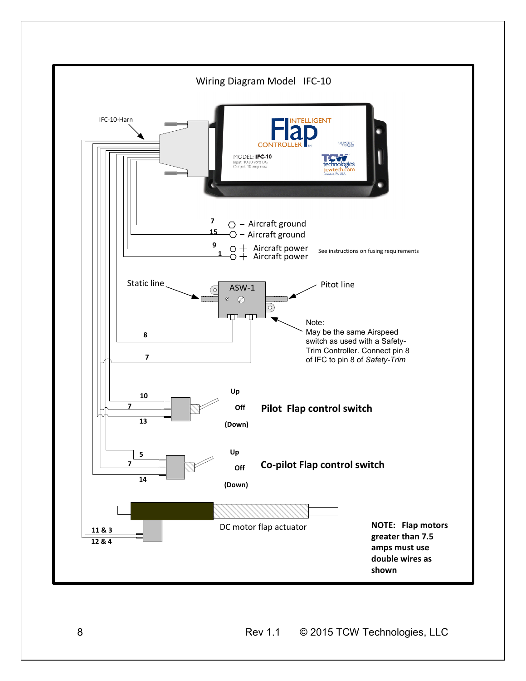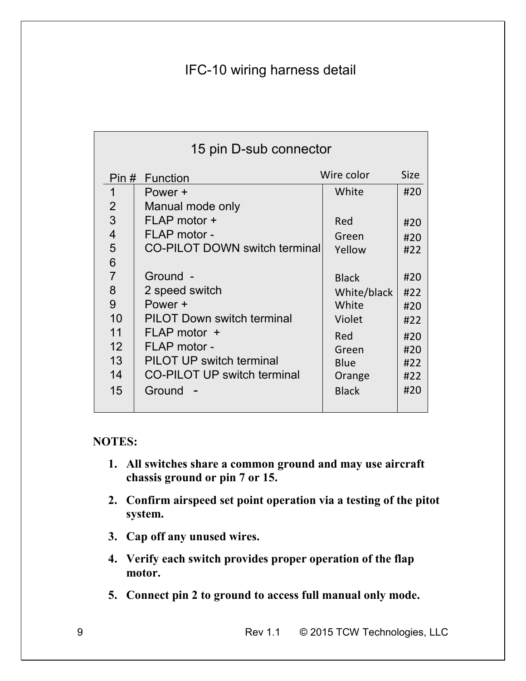# IFC-10 wiring harness detail

| 15 pin D-sub connector |                                      |              |             |
|------------------------|--------------------------------------|--------------|-------------|
| Pin # Function         |                                      | Wire color   | <b>Size</b> |
| 1                      | Power +                              | White        | #20         |
| $\overline{2}$         | Manual mode only                     |              |             |
| 3                      | FLAP motor +                         | Red          | #20         |
| $\overline{4}$         | FLAP motor -                         | Green        | #20         |
| 5                      | <b>CO-PILOT DOWN switch terminal</b> | Yellow       | #22         |
| 6                      |                                      |              |             |
| $\overline{7}$         | Ground -                             | <b>Black</b> | #20         |
| 8                      | 2 speed switch                       | White/black  | #22         |
| 9                      | Power +                              | White        | #20         |
| 10                     | <b>PILOT Down switch terminal</b>    | Violet       | #22         |
| 11                     | FLAP motor +                         | Red          | #20         |
| 12                     | FLAP motor -                         | Green        | #20         |
| 13                     | <b>PILOT UP switch terminal</b>      | <b>Blue</b>  | #22         |
| 14                     | <b>CO-PILOT UP switch terminal</b>   | Orange       | #22         |
| 15                     | Ground                               | <b>Black</b> | #20         |
|                        |                                      |              |             |

## **NOTES:**

- **1. All switches share a common ground and may use aircraft chassis ground or pin 7 or 15.**
- **2. Confirm airspeed set point operation via a testing of the pitot system.**
- **3. Cap off any unused wires.**
- **4. Verify each switch provides proper operation of the flap motor.**
- **5. Connect pin 2 to ground to access full manual only mode.**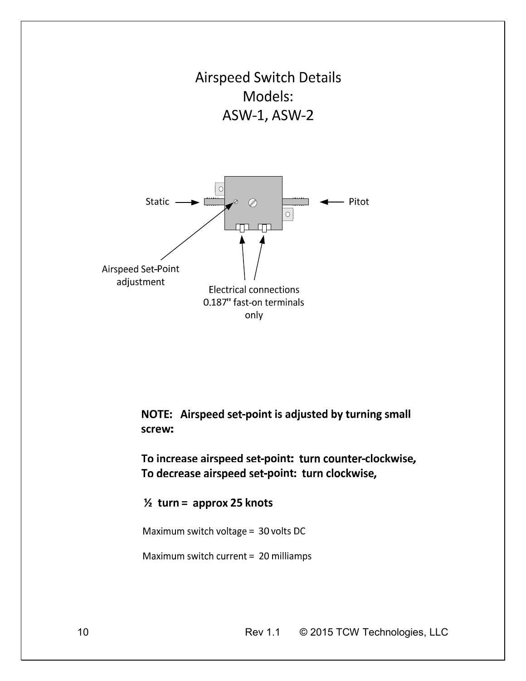

NOTE: Airspeed set-point is adjusted by turning small screw:

To increase airspeed set-point: turn counter-clockwise, To decrease airspeed set-point: turn clockwise,

 $\frac{1}{2}$  turn = approx 25 knots

Maximum switch voltage = 30 volts DC

Maximum switch current = 20 milliamps